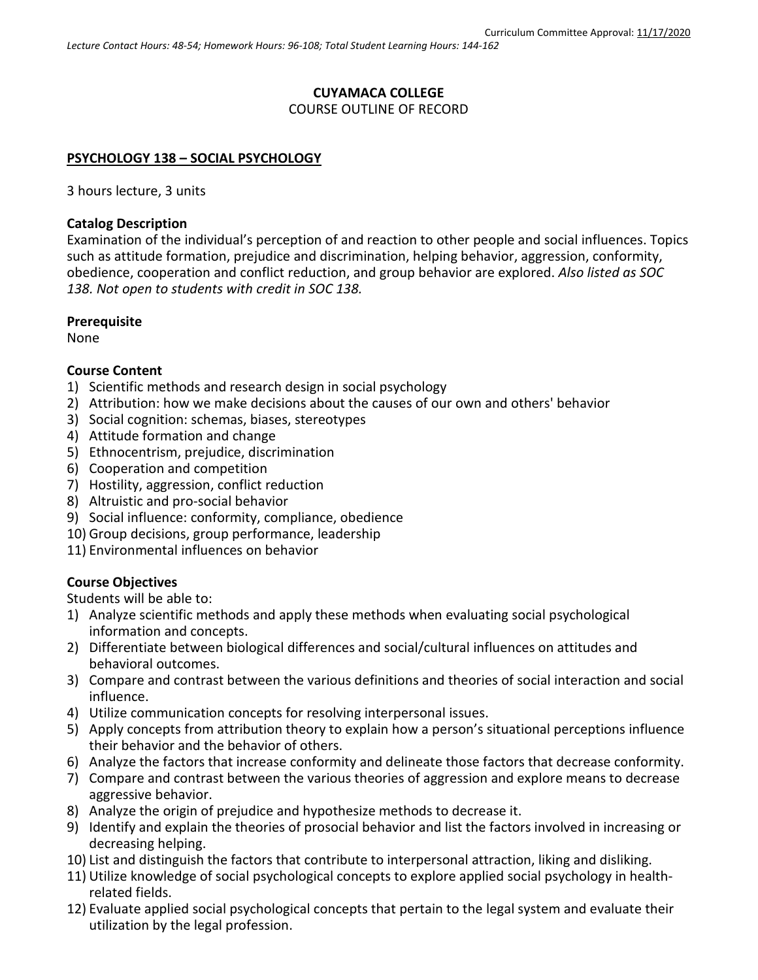#### **CUYAMACA COLLEGE** COURSE OUTLINE OF RECORD

#### **PSYCHOLOGY 138 – SOCIAL PSYCHOLOGY**

3 hours lecture, 3 units

#### **Catalog Description**

Examination of the individual's perception of and reaction to other people and social influences. Topics such as attitude formation, prejudice and discrimination, helping behavior, aggression, conformity, obedience, cooperation and conflict reduction, and group behavior are explored. *Also listed as SOC 138. Not open to students with credit in SOC 138.*

#### **Prerequisite**

None

#### **Course Content**

- 1) Scientific methods and research design in social psychology
- 2) Attribution: how we make decisions about the causes of our own and others' behavior
- 3) Social cognition: schemas, biases, stereotypes
- 4) Attitude formation and change
- 5) Ethnocentrism, prejudice, discrimination
- 6) Cooperation and competition
- 7) Hostility, aggression, conflict reduction
- 8) Altruistic and pro-social behavior
- 9) Social influence: conformity, compliance, obedience
- 10) Group decisions, group performance, leadership
- 11) Environmental influences on behavior

# **Course Objectives**

Students will be able to:

- 1) Analyze scientific methods and apply these methods when evaluating social psychological information and concepts.
- 2) Differentiate between biological differences and social/cultural influences on attitudes and behavioral outcomes.
- 3) Compare and contrast between the various definitions and theories of social interaction and social influence.
- 4) Utilize communication concepts for resolving interpersonal issues.
- 5) Apply concepts from attribution theory to explain how a person's situational perceptions influence their behavior and the behavior of others.
- 6) Analyze the factors that increase conformity and delineate those factors that decrease conformity.
- 7) Compare and contrast between the various theories of aggression and explore means to decrease aggressive behavior.
- 8) Analyze the origin of prejudice and hypothesize methods to decrease it.
- 9) Identify and explain the theories of prosocial behavior and list the factors involved in increasing or decreasing helping.
- 10) List and distinguish the factors that contribute to interpersonal attraction, liking and disliking.
- 11) Utilize knowledge of social psychological concepts to explore applied social psychology in healthrelated fields.
- 12) Evaluate applied social psychological concepts that pertain to the legal system and evaluate their utilization by the legal profession.